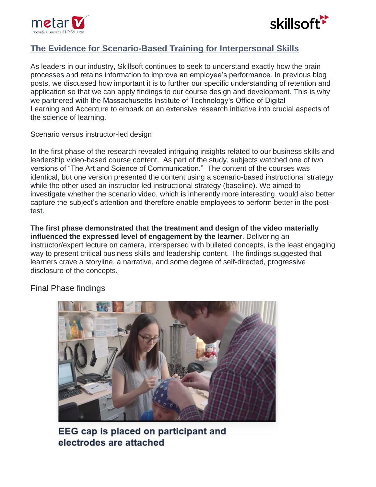



## **[The Evidence for Scenario-Based Training for Interpersonal Skills](https://www.skillsoft.com/blog/2019/06/the-evidence-for-scenario-based-training-for-interpersonal-skills-skillsoft-completes-its-research-with-mit-accenture/)**

As leaders in our industry, Skillsoft continues to seek to understand exactly how the brain processes and retains information to improve an employee's performance. In previous blog posts, we discussed how important it is to further our specific understanding of retention and application so that we can apply findings to our course design and development. This is why we partnered with the Massachusetts Institute of Technology's Office of Digital Learning and Accenture to embark on an extensive research initiative into crucial aspects of the science of learning.

Scenario versus instructor-led design

In the first phase of the research revealed intriguing insights related to our business skills and leadership video-based course content. As part of the study, subjects watched one of two versions of "The Art and Science of Communication." The content of the courses was identical, but one version presented the content using a scenario-based instructional strategy while the other used an instructor-led instructional strategy (baseline). We aimed to investigate whether the scenario video, which is inherently more interesting, would also better capture the subject's attention and therefore enable employees to perform better in the posttest.

**The first phase demonstrated that the treatment and design of the video materially influenced the expressed level of engagement by the learner**. Delivering an instructor/expert lecture on camera, interspersed with bulleted concepts, is the least engaging way to present critical business skills and leadership content. The findings suggested that learners crave a storyline, a narrative, and some degree of self-directed, progressive disclosure of the concepts.

Final Phase findings



EEG cap is placed on participant and electrodes are attached